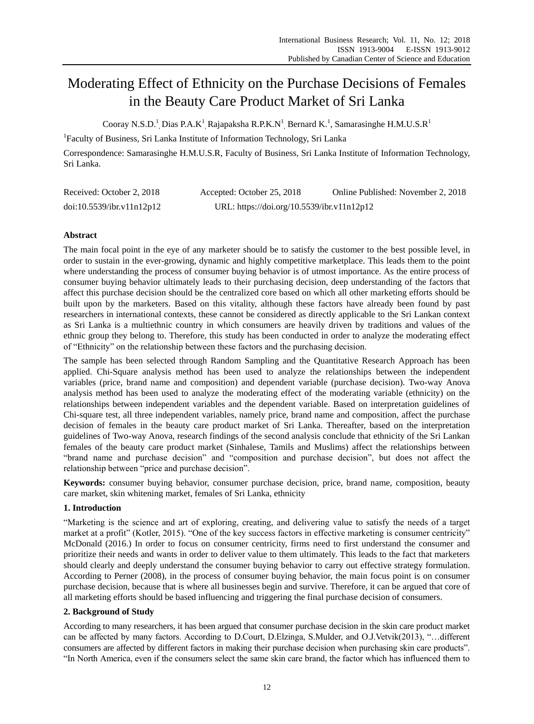# Moderating Effect of Ethnicity on the Purchase Decisions of Females in the Beauty Care Product Market of Sri Lanka

Cooray N.S.D.<sup>1</sup> Dias P.A.K<sup>1</sup> Rajapaksha R.P.K.N<sup>1</sup> Bernard K.<sup>1</sup>, Samarasinghe H.M.U.S.R<sup>1</sup>

<sup>1</sup>Faculty of Business, Sri Lanka Institute of Information Technology, Sri Lanka

Correspondence: Samarasinghe H.M.U.S.R, Faculty of Business, Sri Lanka Institute of Information Technology, Sri Lanka.

| Received: October 2, 2018 | Accepted: October 25, 2018                 | Online Published: November 2, 2018 |
|---------------------------|--------------------------------------------|------------------------------------|
| doi:10.5539/ibr.v11n12p12 | URL: https://doi.org/10.5539/ibr.v11n12p12 |                                    |

# **Abstract**

The main focal point in the eye of any marketer should be to satisfy the customer to the best possible level, in order to sustain in the ever-growing, dynamic and highly competitive marketplace. This leads them to the point where understanding the process of consumer buying behavior is of utmost importance. As the entire process of consumer buying behavior ultimately leads to their purchasing decision, deep understanding of the factors that affect this purchase decision should be the centralized core based on which all other marketing efforts should be built upon by the marketers. Based on this vitality, although these factors have already been found by past researchers in international contexts, these cannot be considered as directly applicable to the Sri Lankan context as Sri Lanka is a multiethnic country in which consumers are heavily driven by traditions and values of the ethnic group they belong to. Therefore, this study has been conducted in order to analyze the moderating effect of "Ethnicity" on the relationship between these factors and the purchasing decision.

The sample has been selected through Random Sampling and the Quantitative Research Approach has been applied. Chi-Square analysis method has been used to analyze the relationships between the independent variables (price, brand name and composition) and dependent variable (purchase decision). Two-way Anova analysis method has been used to analyze the moderating effect of the moderating variable (ethnicity) on the relationships between independent variables and the dependent variable. Based on interpretation guidelines of Chi-square test, all three independent variables, namely price, brand name and composition, affect the purchase decision of females in the beauty care product market of Sri Lanka. Thereafter, based on the interpretation guidelines of Two-way Anova, research findings of the second analysis conclude that ethnicity of the Sri Lankan females of the beauty care product market (Sinhalese, Tamils and Muslims) affect the relationships between "brand name and purchase decision" and "composition and purchase decision", but does not affect the relationship between "price and purchase decision".

**Keywords:** consumer buying behavior, consumer purchase decision, price, brand name, composition, beauty care market, skin whitening market, females of Sri Lanka, ethnicity

# **1. Introduction**

"Marketing is the science and art of exploring, creating, and delivering value to satisfy the needs of a target market at a profit" (Kotler, 2015). "One of the key success factors in effective marketing is consumer centricity" McDonald (2016.) In order to focus on consumer centricity, firms need to first understand the consumer and prioritize their needs and wants in order to deliver value to them ultimately. This leads to the fact that marketers should clearly and deeply understand the consumer buying behavior to carry out effective strategy formulation. According to Perner (2008), in the process of consumer buying behavior, the main focus point is on consumer purchase decision, because that is where all businesses begin and survive. Therefore, it can be argued that core of all marketing efforts should be based influencing and triggering the final purchase decision of consumers.

# **2. Background of Study**

According to many researchers, it has been argued that consumer purchase decision in the skin care product market can be affected by many factors. According to D.Court, D.Elzinga, S.Mulder, and O.J.Vetvik(2013), "…different consumers are affected by different factors in making their purchase decision when purchasing skin care products". "In North America, even if the consumers select the same skin care brand, the factor which has influenced them to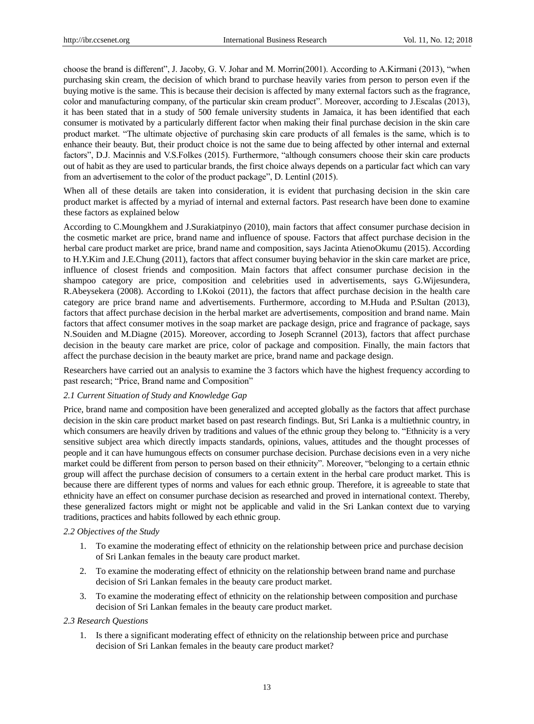choose the brand is different", J. Jacoby, G. V. Johar and M. Morrin(2001). According to A.Kirmani (2013), "when purchasing skin cream, the decision of which brand to purchase heavily varies from person to person even if the buying motive is the same. This is because their decision is affected by many external factors such as the fragrance, color and manufacturing company, of the particular skin cream product". Moreover, according to J.Escalas (2013), it has been stated that in a study of 500 female university students in Jamaica, it has been identified that each consumer is motivated by a particularly different factor when making their final purchase decision in the skin care product market. "The ultimate objective of purchasing skin care products of all females is the same, which is to enhance their beauty. But, their product choice is not the same due to being affected by other internal and external factors", D.J. Macinnis and V.S.Folkes (2015). Furthermore, "although consumers choose their skin care products out of habit as they are used to particular brands, the first choice always depends on a particular fact which can vary from an advertisement to the color of the product package", D. Lentinl (2015).

When all of these details are taken into consideration, it is evident that purchasing decision in the skin care product market is affected by a myriad of internal and external factors. Past research have been done to examine these factors as explained below

According to C.Moungkhem and J.Surakiatpinyo (2010), main factors that affect consumer purchase decision in the cosmetic market are price, brand name and influence of spouse. Factors that affect purchase decision in the herbal care product market are price, brand name and composition, says Jacinta AtienoOkumu (2015). According to H.Y.Kim and J.E.Chung (2011), factors that affect consumer buying behavior in the skin care market are price, influence of closest friends and composition. Main factors that affect consumer purchase decision in the shampoo category are price, composition and celebrities used in advertisements, says G.Wijesundera, R.Abeysekera (2008). According to I.Kokoi (2011), the factors that affect purchase decision in the health care category are price brand name and advertisements. Furthermore, according to M.Huda and P.Sultan (2013), factors that affect purchase decision in the herbal market are advertisements, composition and brand name. Main factors that affect consumer motives in the soap market are package design, price and fragrance of package, says N.Souiden and M.Diagne (2015). Moreover, according to Joseph Scrannel (2013), factors that affect purchase decision in the beauty care market are price, color of package and composition. Finally, the main factors that affect the purchase decision in the beauty market are price, brand name and package design.

Researchers have carried out an analysis to examine the 3 factors which have the highest frequency according to past research; "Price, Brand name and Composition"

# *2.1 Current Situation of Study and Knowledge Gap*

Price, brand name and composition have been generalized and accepted globally as the factors that affect purchase decision in the skin care product market based on past research findings. But, Sri Lanka is a multiethnic country, in which consumers are heavily driven by traditions and values of the ethnic group they belong to. "Ethnicity is a very sensitive subject area which directly impacts standards, opinions, values, attitudes and the thought processes of people and it can have humungous effects on consumer purchase decision. Purchase decisions even in a very niche market could be different from person to person based on their ethnicity". Moreover, "belonging to a certain ethnic group will affect the purchase decision of consumers to a certain extent in the herbal care product market. This is because there are different types of norms and values for each ethnic group. Therefore, it is agreeable to state that ethnicity have an effect on consumer purchase decision as researched and proved in international context. Thereby, these generalized factors might or might not be applicable and valid in the Sri Lankan context due to varying traditions, practices and habits followed by each ethnic group.

## *2.2 Objectives of the Study*

- 1. To examine the moderating effect of ethnicity on the relationship between price and purchase decision of Sri Lankan females in the beauty care product market.
- 2. To examine the moderating effect of ethnicity on the relationship between brand name and purchase decision of Sri Lankan females in the beauty care product market.
- 3. To examine the moderating effect of ethnicity on the relationship between composition and purchase decision of Sri Lankan females in the beauty care product market.

# *2.3 Research Questions*

1. Is there a significant moderating effect of ethnicity on the relationship between price and purchase decision of Sri Lankan females in the beauty care product market?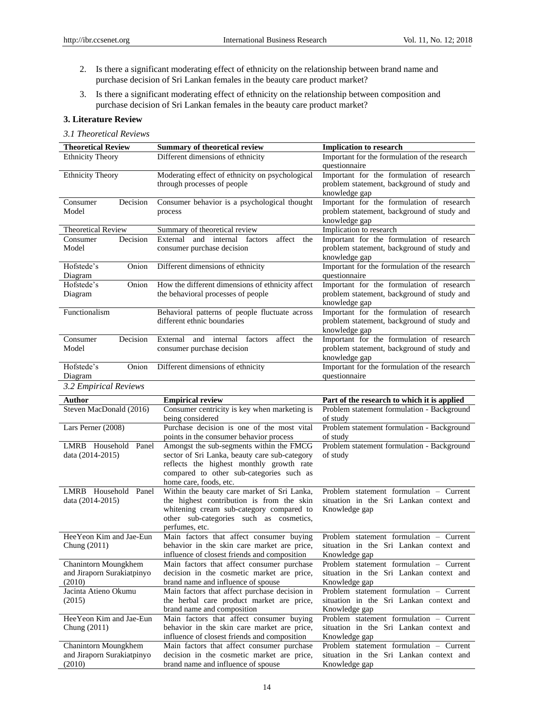- 2. Is there a significant moderating effect of ethnicity on the relationship between brand name and purchase decision of Sri Lankan females in the beauty care product market?
- 3. Is there a significant moderating effect of ethnicity on the relationship between composition and purchase decision of Sri Lankan females in the beauty care product market?

# **3. Literature Review**

#### *3.1 Theoretical Reviews*

| <b>Theoretical Review</b>      | <b>Summary of theoretical review</b>                                                     | <b>Implication to research</b>                                 |
|--------------------------------|------------------------------------------------------------------------------------------|----------------------------------------------------------------|
| <b>Ethnicity Theory</b>        | Different dimensions of ethnicity                                                        | Important for the formulation of the research<br>questionnaire |
| <b>Ethnicity Theory</b>        | Moderating effect of ethnicity on psychological                                          | Important for the formulation of research                      |
|                                | through processes of people                                                              | problem statement, background of study and                     |
|                                |                                                                                          | knowledge gap                                                  |
| Decision<br>Consumer           | Consumer behavior is a psychological thought                                             | Important for the formulation of research                      |
| Model                          | process                                                                                  | problem statement, background of study and                     |
|                                |                                                                                          | knowledge gap                                                  |
| <b>Theoretical Review</b>      | Summary of theoretical review                                                            | Implication to research                                        |
| Decision<br>Consumer           | External<br>and internal factors<br>affect<br>the                                        | Important for the formulation of research                      |
| Model                          | consumer purchase decision                                                               | problem statement, background of study and<br>knowledge gap    |
| Hofstede's<br>Onion<br>Diagram | Different dimensions of ethnicity                                                        | Important for the formulation of the research<br>questionnaire |
| Hofstede's<br>Onion            | How the different dimensions of ethnicity affect                                         | Important for the formulation of research                      |
| Diagram                        | the behavioral processes of people                                                       | problem statement, background of study and<br>knowledge gap    |
| Functionalism                  | Behavioral patterns of people fluctuate across                                           | Important for the formulation of research                      |
|                                | different ethnic boundaries                                                              | problem statement, background of study and                     |
|                                |                                                                                          | knowledge gap                                                  |
| Consumer<br>Decision           | External<br>and internal factors<br>affect<br>the                                        | Important for the formulation of research                      |
| Model                          | consumer purchase decision                                                               | problem statement, background of study and<br>knowledge gap    |
| Hofstede's<br>Onion            | Different dimensions of ethnicity                                                        | Important for the formulation of the research                  |
| Diagram                        |                                                                                          | questionnaire                                                  |
| 3.2 Empirical Reviews          |                                                                                          |                                                                |
| Author                         | <b>Empirical review</b>                                                                  | Part of the research to which it is applied                    |
| Steven MacDonald (2016)        | Consumer centricity is key when marketing is<br>being considered                         | Problem statement formulation - Background<br>of study         |
| Lars Perner (2008)             | Purchase decision is one of the most vital                                               | Problem statement formulation - Background                     |
|                                | points in the consumer behavior process                                                  | of study                                                       |
| LMRB Household Panel           | Amongst the sub-segments within the FMCG                                                 | Problem statement formulation - Background                     |
| data (2014-2015)               | sector of Sri Lanka, beauty care sub-category                                            | of study                                                       |
|                                | reflects the highest monthly growth rate                                                 |                                                                |
|                                | compared to other sub-categories such as                                                 |                                                                |
| LMRB Household Panel           | home care, foods, etc.                                                                   | Problem statement formulation - Current                        |
| data (2014-2015)               | Within the beauty care market of Sri Lanka,<br>the highest contribution is from the skin | situation in the Sri Lankan context and                        |
|                                | whitening cream sub-category compared to                                                 | Knowledge gap                                                  |
|                                | other sub-categories such as cosmetics,                                                  |                                                                |
|                                | perfumes, etc.                                                                           |                                                                |
| Hee Yeon Kim and Jae-Eun       | Main factors that affect consumer buying                                                 | Problem statement formulation - Current                        |
| Chung (2011)                   | behavior in the skin care market are price,                                              | situation in the Sri Lankan context and                        |
|                                | influence of closest friends and composition                                             | Knowledge gap                                                  |
| Chanintorn Moungkhem           | Main factors that affect consumer purchase                                               | Problem statement formulation - Current                        |
| and Jiraporn Surakiatpinyo     | decision in the cosmetic market are price,                                               | situation in the Sri Lankan context and                        |
| (2010)                         | brand name and influence of spouse                                                       | Knowledge gap                                                  |
| Jacinta Atieno Okumu           | Main factors that affect purchase decision in                                            | Problem statement formulation - Current                        |
| (2015)                         | the herbal care product market are price,                                                | situation in the Sri Lankan context and                        |
|                                | brand name and composition                                                               | Knowledge gap                                                  |
| Hee Yeon Kim and Jae-Eun       | Main factors that affect consumer buying                                                 | Problem statement formulation - Current                        |
| Chung (2011)                   | behavior in the skin care market are price,                                              | situation in the Sri Lankan context and                        |
|                                | influence of closest friends and composition                                             | Knowledge gap                                                  |
| Chanintorn Moungkhem           | Main factors that affect consumer purchase                                               | Problem statement formulation - Current                        |
| and Jiraporn Surakiatpinyo     | decision in the cosmetic market are price,                                               | situation in the Sri Lankan context and                        |
| (2010)                         | brand name and influence of spouse                                                       | Knowledge gap                                                  |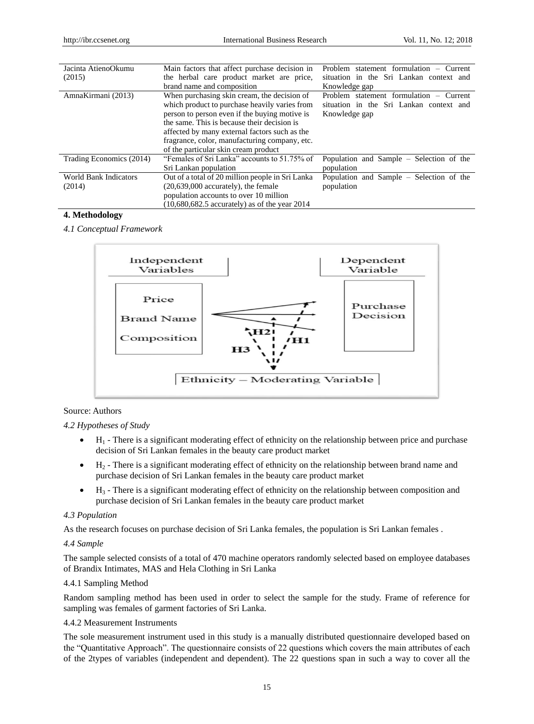| Jacinta AtienoOkumu          | Main factors that affect purchase decision in    | Problem statement formulation – Current  |
|------------------------------|--------------------------------------------------|------------------------------------------|
| (2015)                       | the herbal care product market are price,        | situation in the Sri Lankan context and  |
|                              | brand name and composition                       | Knowledge gap                            |
| AmnaKirmani (2013)           | When purchasing skin cream, the decision of      | Problem statement formulation - Current  |
|                              | which product to purchase heavily varies from    | situation in the Sri Lankan context and  |
|                              | person to person even if the buying motive is    | Knowledge gap                            |
|                              | the same. This is because their decision is      |                                          |
|                              | affected by many external factors such as the    |                                          |
|                              | fragrance, color, manufacturing company, etc.    |                                          |
|                              | of the particular skin cream product             |                                          |
| Trading Economics (2014)     | "Females of Sri Lanka" accounts to 51.75% of     | Population and Sample – Selection of the |
|                              | Sri Lankan population                            | population                               |
| <b>World Bank Indicators</b> | Out of a total of 20 million people in Sri Lanka | Population and Sample – Selection of the |
| (2014)                       | $(20,639,000$ accurately), the female            | population                               |
|                              | population accounts to over 10 million           |                                          |
|                              | $(10,680,682.5$ accurately) as of the year 2014  |                                          |

# **4. Methodology**

*4.1 Conceptual Framework*



# Source: Authors

## *4.2 Hypotheses of Study*

- $\bullet$  H<sub>1</sub> There is a significant moderating effect of ethnicity on the relationship between price and purchase decision of Sri Lankan females in the beauty care product market
- $\bullet$  H<sub>2</sub> There is a significant moderating effect of ethnicity on the relationship between brand name and purchase decision of Sri Lankan females in the beauty care product market
- $\bullet$  H<sub>3</sub> There is a significant moderating effect of ethnicity on the relationship between composition and purchase decision of Sri Lankan females in the beauty care product market

#### *4.3 Population*

As the research focuses on purchase decision of Sri Lanka females, the population is Sri Lankan females .

#### *4.4 Sample*

The sample selected consists of a total of 470 machine operators randomly selected based on employee databases of Brandix Intimates, MAS and Hela Clothing in Sri Lanka

#### 4.4.1 Sampling Method

Random sampling method has been used in order to select the sample for the study. Frame of reference for sampling was females of garment factories of Sri Lanka.

# 4.4.2 Measurement Instruments

The sole measurement instrument used in this study is a manually distributed questionnaire developed based on the "Quantitative Approach". The questionnaire consists of 22 questions which covers the main attributes of each of the 2types of variables (independent and dependent). The 22 questions span in such a way to cover all the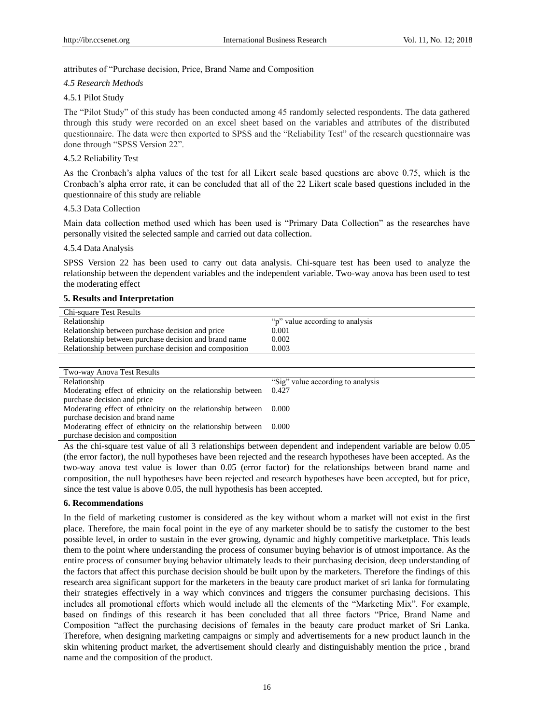# attributes of "Purchase decision, Price, Brand Name and Composition

## *4.5 Research Methods*

# 4.5.1 Pilot Study

The "Pilot Study" of this study has been conducted among 45 randomly selected respondents. The data gathered through this study were recorded on an excel sheet based on the variables and attributes of the distributed questionnaire. The data were then exported to SPSS and the "Reliability Test" of the research questionnaire was done through "SPSS Version 22".

# 4.5.2 Reliability Test

As the Cronbach's alpha values of the test for all Likert scale based questions are above 0.75, which is the Cronbach's alpha error rate, it can be concluded that all of the 22 Likert scale based questions included in the questionnaire of this study are reliable

## 4.5.3 Data Collection

Main data collection method used which has been used is "Primary Data Collection" as the researches have personally visited the selected sample and carried out data collection.

#### 4.5.4 Data Analysis

SPSS Version 22 has been used to carry out data analysis. Chi-square test has been used to analyze the relationship between the dependent variables and the independent variable. Two-way anova has been used to test the moderating effect

## **5. Results and Interpretation**

| Chi-square Test Results                                |                                  |
|--------------------------------------------------------|----------------------------------|
| Relationship                                           | "p" value according to analysis" |
| Relationship between purchase decision and price       | 0.001                            |
| Relationship between purchase decision and brand name  | 0.002                            |
| Relationship between purchase decision and composition | 0.003                            |
|                                                        |                                  |

| Two-way Anova Test Results                                 |                                    |
|------------------------------------------------------------|------------------------------------|
| Relationship                                               | "Sig" value according to analysis" |
| Moderating effect of ethnicity on the relationship between | 0.427                              |
| purchase decision and price                                |                                    |
| Moderating effect of ethnicity on the relationship between | 0.000                              |
| purchase decision and brand name                           |                                    |
| Moderating effect of ethnicity on the relationship between | 0.000                              |
| purchase decision and composition                          |                                    |

As the chi-square test value of all 3 relationships between dependent and independent variable are below 0.05 (the error factor), the null hypotheses have been rejected and the research hypotheses have been accepted. As the two-way anova test value is lower than 0.05 (error factor) for the relationships between brand name and composition, the null hypotheses have been rejected and research hypotheses have been accepted, but for price, since the test value is above 0.05, the null hypothesis has been accepted.

#### **6. Recommendations**

In the field of marketing customer is considered as the key without whom a market will not exist in the first place. Therefore, the main focal point in the eye of any marketer should be to satisfy the customer to the best possible level, in order to sustain in the ever growing, dynamic and highly competitive marketplace. This leads them to the point where understanding the process of consumer buying behavior is of utmost importance. As the entire process of consumer buying behavior ultimately leads to their purchasing decision, deep understanding of the factors that affect this purchase decision should be built upon by the marketers. Therefore the findings of this research area significant support for the marketers in the beauty care product market of sri lanka for formulating their strategies effectively in a way which convinces and triggers the consumer purchasing decisions. This includes all promotional efforts which would include all the elements of the "Marketing Mix". For example, based on findings of this research it has been concluded that all three factors "Price, Brand Name and Composition "affect the purchasing decisions of females in the beauty care product market of Sri Lanka. Therefore, when designing marketing campaigns or simply and advertisements for a new product launch in the skin whitening product market, the advertisement should clearly and distinguishably mention the price , brand name and the composition of the product.